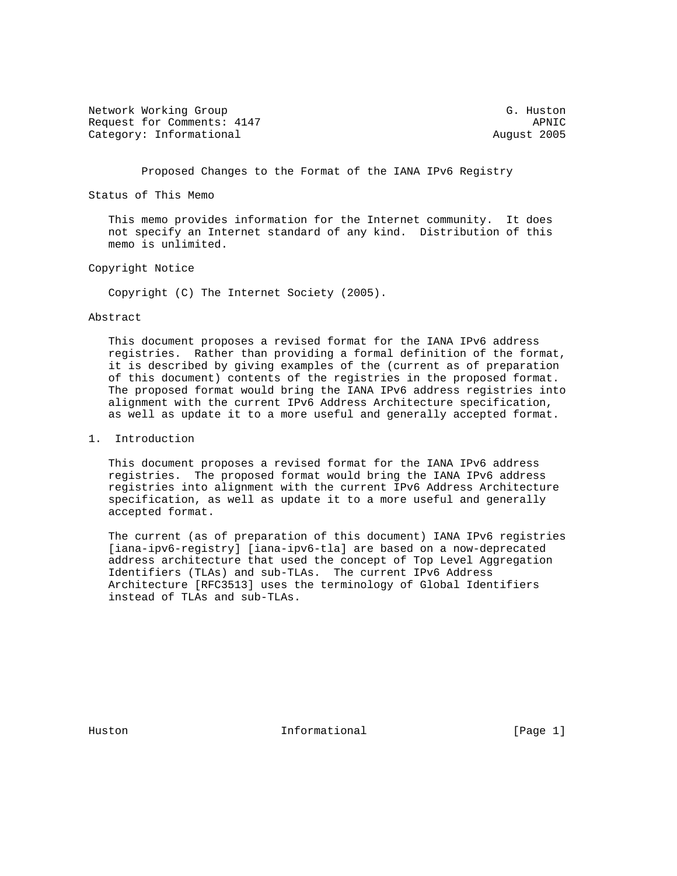Network Working Group G. Huston G. Huston Request for Comments: 4147 APNIC Category: Informational and August 2005

Proposed Changes to the Format of the IANA IPv6 Registry

Status of This Memo

 This memo provides information for the Internet community. It does not specify an Internet standard of any kind. Distribution of this memo is unlimited.

# Copyright Notice

Copyright (C) The Internet Society (2005).

## Abstract

 This document proposes a revised format for the IANA IPv6 address registries. Rather than providing a formal definition of the format, it is described by giving examples of the (current as of preparation of this document) contents of the registries in the proposed format. The proposed format would bring the IANA IPv6 address registries into alignment with the current IPv6 Address Architecture specification, as well as update it to a more useful and generally accepted format.

# 1. Introduction

 This document proposes a revised format for the IANA IPv6 address registries. The proposed format would bring the IANA IPv6 address registries into alignment with the current IPv6 Address Architecture specification, as well as update it to a more useful and generally accepted format.

 The current (as of preparation of this document) IANA IPv6 registries [iana-ipv6-registry] [iana-ipv6-tla] are based on a now-deprecated address architecture that used the concept of Top Level Aggregation Identifiers (TLAs) and sub-TLAs. The current IPv6 Address Architecture [RFC3513] uses the terminology of Global Identifiers instead of TLAs and sub-TLAs.

Huston **Informational Informational** [Page 1]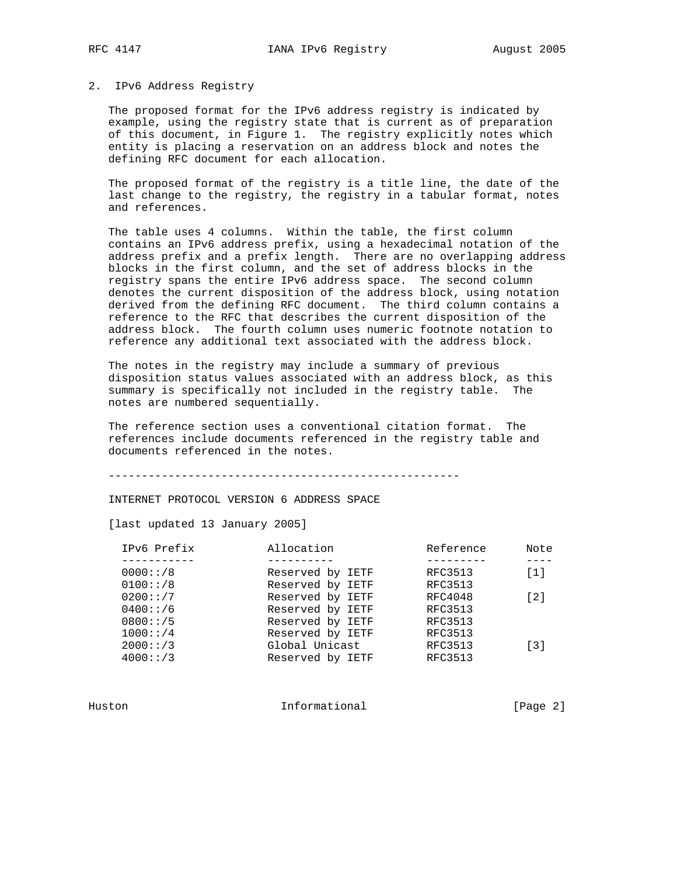## 2. IPv6 Address Registry

 The proposed format for the IPv6 address registry is indicated by example, using the registry state that is current as of preparation of this document, in Figure 1. The registry explicitly notes which entity is placing a reservation on an address block and notes the defining RFC document for each allocation.

 The proposed format of the registry is a title line, the date of the last change to the registry, the registry in a tabular format, notes and references.

 The table uses 4 columns. Within the table, the first column contains an IPv6 address prefix, using a hexadecimal notation of the address prefix and a prefix length. There are no overlapping address blocks in the first column, and the set of address blocks in the registry spans the entire IPv6 address space. The second column denotes the current disposition of the address block, using notation derived from the defining RFC document. The third column contains a reference to the RFC that describes the current disposition of the address block. The fourth column uses numeric footnote notation to reference any additional text associated with the address block.

 The notes in the registry may include a summary of previous disposition status values associated with an address block, as this summary is specifically not included in the registry table. The notes are numbered sequentially.

 The reference section uses a conventional citation format. The references include documents referenced in the registry table and documents referenced in the notes.

-----------------------------------------------------

INTERNET PROTOCOL VERSION 6 ADDRESS SPACE

[last updated 13 January 2005]

| IPv6 Prefix | Allocation       | Reference      | Note              |
|-------------|------------------|----------------|-------------------|
|             |                  |                |                   |
| 0000::/8    | Reserved by IETF | RFC3513        | [1]               |
| 0100::/8    | Reserved by IETF | <b>RFC3513</b> |                   |
| 0200::/7    | Reserved by IETF | RFC4048        | $\lceil 2 \rceil$ |
| 0400::/6    | Reserved by IETF | <b>RFC3513</b> |                   |
| 0800::/5    | Reserved by IETF | <b>RFC3513</b> |                   |
| 1000::/4    | Reserved by IETF | RFC3513        |                   |
| 2000::/3    | Global Unicast   | <b>RFC3513</b> | $\lceil 3 \rceil$ |
| 4000::/3    | Reserved by IETF | <b>RFC3513</b> |                   |
|             |                  |                |                   |

Huston **Informational Informational** [Page 2]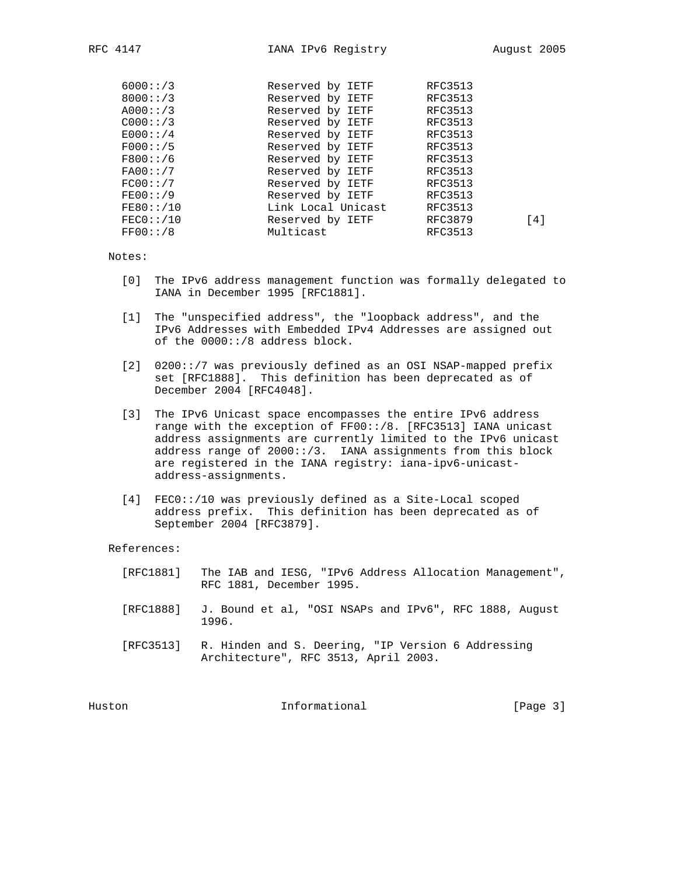| 6000::/3  | Reserved by IETF   | <b>RFC3513</b> |
|-----------|--------------------|----------------|
| 8000::/3  | Reserved by IETF   | RFC3513        |
| A000::/3  | Reserved by IETF   | <b>RFC3513</b> |
| C000::/3  | Reserved by IETF   | RFC3513        |
| E000::/4  | Reserved by IETF   | RFC3513        |
| F000::/5  | Reserved by IETF   | <b>RFC3513</b> |
| F800::/6  | Reserved by IETF   | RFC3513        |
| FA00:!/7  | Reserved by IETF   | RFC3513        |
| FC00::/7  | Reserved by IETF   | <b>RFC3513</b> |
| FE00::/9  | Reserved by IETF   | <b>RFC3513</b> |
| FE80:'/10 | Link Local Unicast | <b>RFC3513</b> |
| FEC0:'/10 | Reserved by IETF   | RFC3879<br>[4] |
| FF00::/8  | Multicast          | RFC3513        |
|           |                    |                |

Notes:

- [0] The IPv6 address management function was formally delegated to IANA in December 1995 [RFC1881].
- [1] The "unspecified address", the "loopback address", and the IPv6 Addresses with Embedded IPv4 Addresses are assigned out of the 0000::/8 address block.
- [2] 0200::/7 was previously defined as an OSI NSAP-mapped prefix set [RFC1888]. This definition has been deprecated as of December 2004 [RFC4048].
- [3] The IPv6 Unicast space encompasses the entire IPv6 address range with the exception of FF00::/8. [RFC3513] IANA unicast address assignments are currently limited to the IPv6 unicast address range of 2000::/3. IANA assignments from this block are registered in the IANA registry: iana-ipv6-unicast address-assignments.
- [4] FEC0::/10 was previously defined as a Site-Local scoped address prefix. This definition has been deprecated as of September 2004 [RFC3879].

References:

- [RFC1881] The IAB and IESG, "IPv6 Address Allocation Management", RFC 1881, December 1995.
- [RFC1888] J. Bound et al, "OSI NSAPs and IPv6", RFC 1888, August 1996.
- [RFC3513] R. Hinden and S. Deering, "IP Version 6 Addressing Architecture", RFC 3513, April 2003.

Huston Informational [Page 3]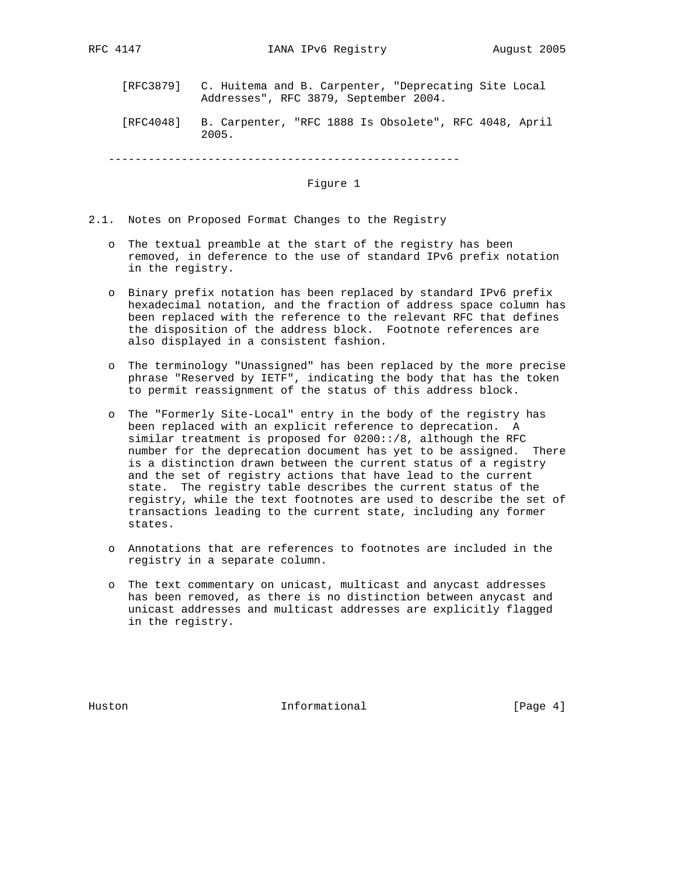- [RFC3879] C. Huitema and B. Carpenter, "Deprecating Site Local Addresses", RFC 3879, September 2004.
- [RFC4048] B. Carpenter, "RFC 1888 Is Obsolete", RFC 4048, April 2005.

-----------------------------------------------------

## Figure 1

- 2.1. Notes on Proposed Format Changes to the Registry
	- o The textual preamble at the start of the registry has been removed, in deference to the use of standard IPv6 prefix notation in the registry.
	- o Binary prefix notation has been replaced by standard IPv6 prefix hexadecimal notation, and the fraction of address space column has been replaced with the reference to the relevant RFC that defines the disposition of the address block. Footnote references are also displayed in a consistent fashion.
	- o The terminology "Unassigned" has been replaced by the more precise phrase "Reserved by IETF", indicating the body that has the token to permit reassignment of the status of this address block.
	- o The "Formerly Site-Local" entry in the body of the registry has been replaced with an explicit reference to deprecation. A similar treatment is proposed for  $0200::/8$ , although the RFC number for the deprecation document has yet to be assigned. There is a distinction drawn between the current status of a registry and the set of registry actions that have lead to the current state. The registry table describes the current status of the registry, while the text footnotes are used to describe the set of transactions leading to the current state, including any former states.
	- o Annotations that are references to footnotes are included in the registry in a separate column.
	- o The text commentary on unicast, multicast and anycast addresses has been removed, as there is no distinction between anycast and unicast addresses and multicast addresses are explicitly flagged in the registry.

Huston **Informational Informational** [Page 4]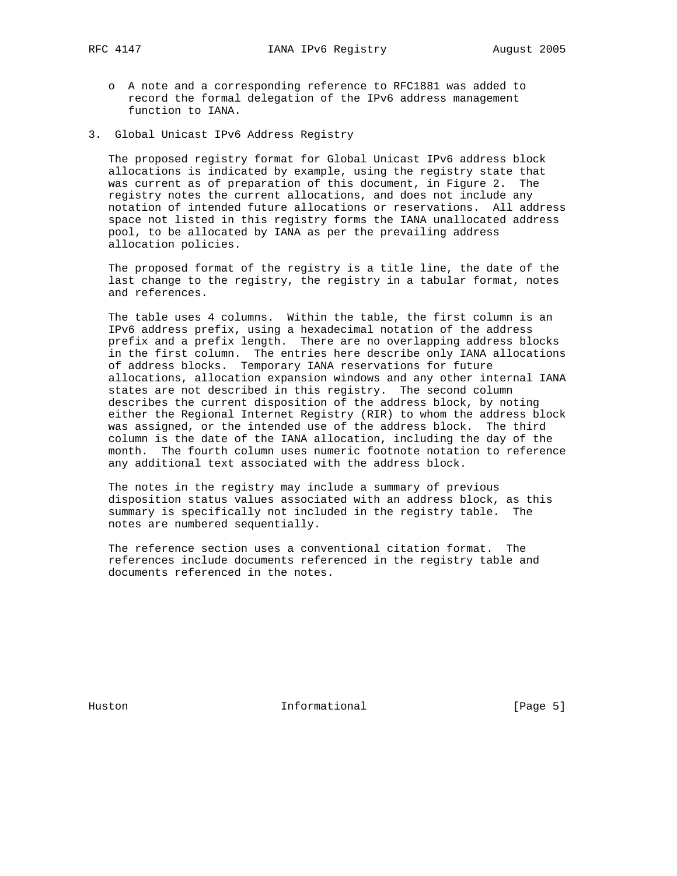- o A note and a corresponding reference to RFC1881 was added to record the formal delegation of the IPv6 address management function to IANA.
- 3. Global Unicast IPv6 Address Registry

 The proposed registry format for Global Unicast IPv6 address block allocations is indicated by example, using the registry state that was current as of preparation of this document, in Figure 2. The registry notes the current allocations, and does not include any notation of intended future allocations or reservations. All address space not listed in this registry forms the IANA unallocated address pool, to be allocated by IANA as per the prevailing address allocation policies.

 The proposed format of the registry is a title line, the date of the last change to the registry, the registry in a tabular format, notes and references.

 The table uses 4 columns. Within the table, the first column is an IPv6 address prefix, using a hexadecimal notation of the address prefix and a prefix length. There are no overlapping address blocks in the first column. The entries here describe only IANA allocations of address blocks. Temporary IANA reservations for future allocations, allocation expansion windows and any other internal IANA states are not described in this registry. The second column describes the current disposition of the address block, by noting either the Regional Internet Registry (RIR) to whom the address block was assigned, or the intended use of the address block. The third column is the date of the IANA allocation, including the day of the month. The fourth column uses numeric footnote notation to reference any additional text associated with the address block.

 The notes in the registry may include a summary of previous disposition status values associated with an address block, as this summary is specifically not included in the registry table. The notes are numbered sequentially.

 The reference section uses a conventional citation format. The references include documents referenced in the registry table and documents referenced in the notes.

Huston **Informational Informational** [Page 5]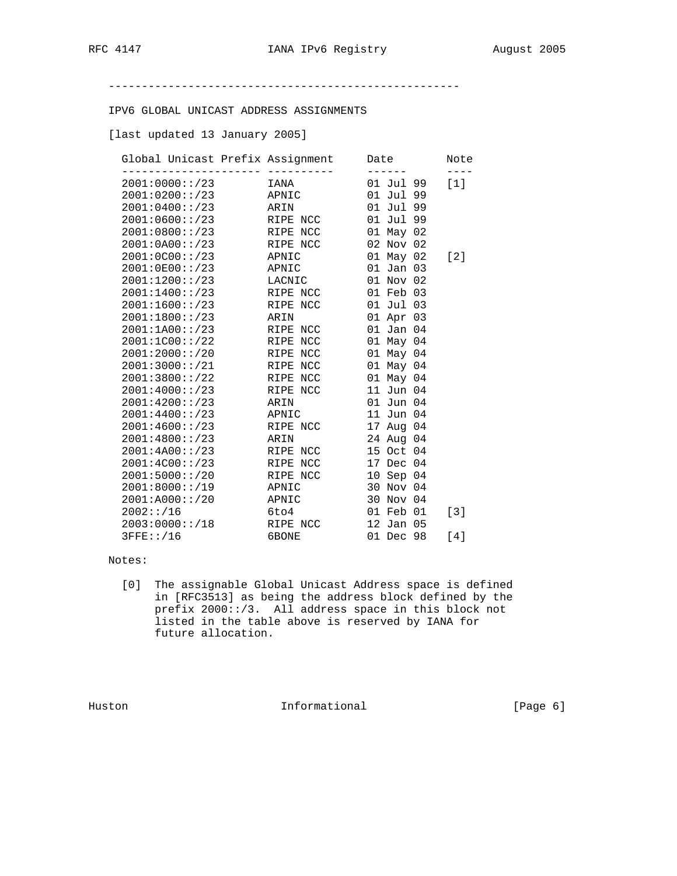-----------------------------------------------------

IPV6 GLOBAL UNICAST ADDRESS ASSIGNMENTS

[last updated 13 January 2005]

| Global Unicast Prefix Assignment |          | Date          | Note  |
|----------------------------------|----------|---------------|-------|
| 2001:0000::/23                   | IANA     | 01 Jul 99     | [1]   |
| 2001:0200::/23                   | APNIC    | 01 Jul 99     |       |
| 2001:0400::/23                   | ARIN     | 01 Jul 99     |       |
| 2001:0600::/23                   | RIPE NCC | 01 Jul 99     |       |
| 2001:0800::/23                   | RIPE NCC | 01 May 02     |       |
| 2001:0A00::/23                   | RIPE NCC | 02 Nov 02     |       |
| 2001:0000::/23                   | APNIC    | 01 May 02     | $[2]$ |
| 2001:0E00::/23                   | APNIC    | $01$ Jan $03$ |       |
| 2001:1200::/23                   | LACNIC   | 01 Nov 02     |       |
| 2001:1400::/23                   | RIPE NCC | 01 Feb 03     |       |
| 2001:1600::/23                   | RIPE NCC | 01 Jul 03     |       |
| 2001:1800::/23                   | ARIN     | 01 Apr 03     |       |
| 2001:1A00::/23                   | RIPE NCC | 01 Jan 04     |       |
| 2001:1C00::/22                   | RIPE NCC | 01 May 04     |       |
| 2001:2000::/20                   | RIPE NCC | 01 May 04     |       |
| 2001:3000::/21                   | RIPE NCC | 01 May 04     |       |
| 2001:3800::/22                   | RIPE NCC | 01 May 04     |       |
| 2001:4000::/23                   | RIPE NCC | 11 Jun 04     |       |
| 2001:4200::/23                   | ARIN     | 01 Jun 04     |       |
| 2001:4400::/23                   | APNIC    | 11 Jun 04     |       |
| 2001:4600::/23                   | RIPE NCC | 17 Aug 04     |       |
| 2001:4800::/23                   | ARIN     | 24 Aug 04     |       |
| 2001:4A00::/23                   | RIPE NCC | 15 Oct 04     |       |
| 2001:4C00::/23                   | RIPE NCC | 17 Dec 04     |       |
| 2001:5000::/20                   | RIPE NCC | 10 Sep 04     |       |
| 2001:8000::/19                   | APNIC    | 30 Nov 04     |       |
| 2001:A000::/20                   | APNIC    | 30 Nov 04     |       |
| 2002::/16                        | 6to4     | 01 Feb 01     | $[3]$ |
| 2003:0000::/18                   | RIPE NCC | 12 Jan 05     |       |
| $3$ FFE:: $/16$                  | 6BONE    | 01 Dec 98     | [4]   |
|                                  |          |               |       |

## Notes:

 [0] The assignable Global Unicast Address space is defined in [RFC3513] as being the address block defined by the prefix 2000::/3. All address space in this block not listed in the table above is reserved by IANA for future allocation.

Huston Informational [Page 6]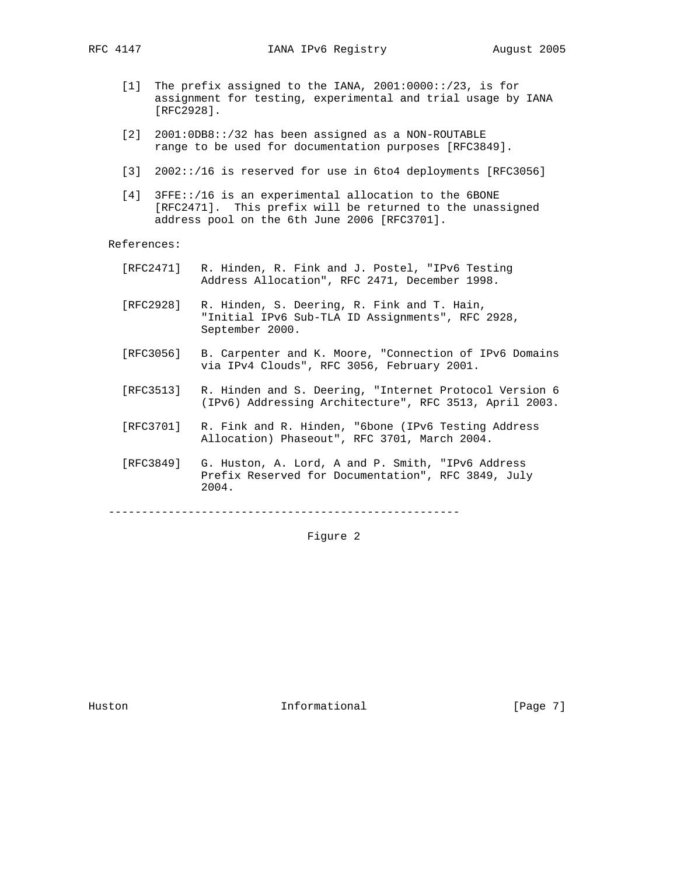- [1] The prefix assigned to the IANA, 2001:0000::/23, is for assignment for testing, experimental and trial usage by IANA [RFC2928].
- [2] 2001:0DB8::/32 has been assigned as a NON-ROUTABLE range to be used for documentation purposes [RFC3849].
- [3] 2002::/16 is reserved for use in 6to4 deployments [RFC3056]
- [4] 3FFE::/16 is an experimental allocation to the 6BONE [RFC2471]. This prefix will be returned to the unassigned address pool on the 6th June 2006 [RFC3701].

References:

- [RFC2471] R. Hinden, R. Fink and J. Postel, "IPv6 Testing Address Allocation", RFC 2471, December 1998.
- [RFC2928] R. Hinden, S. Deering, R. Fink and T. Hain, "Initial IPv6 Sub-TLA ID Assignments", RFC 2928, September 2000.
- [RFC3056] B. Carpenter and K. Moore, "Connection of IPv6 Domains via IPv4 Clouds", RFC 3056, February 2001.
- [RFC3513] R. Hinden and S. Deering, "Internet Protocol Version 6 (IPv6) Addressing Architecture", RFC 3513, April 2003.
- [RFC3701] R. Fink and R. Hinden, "6bone (IPv6 Testing Address Allocation) Phaseout", RFC 3701, March 2004.
- [RFC3849] G. Huston, A. Lord, A and P. Smith, "IPv6 Address Prefix Reserved for Documentation", RFC 3849, July 2004.

-----------------------------------------------------

Figure 2

Huston **Informational Informational** [Page 7]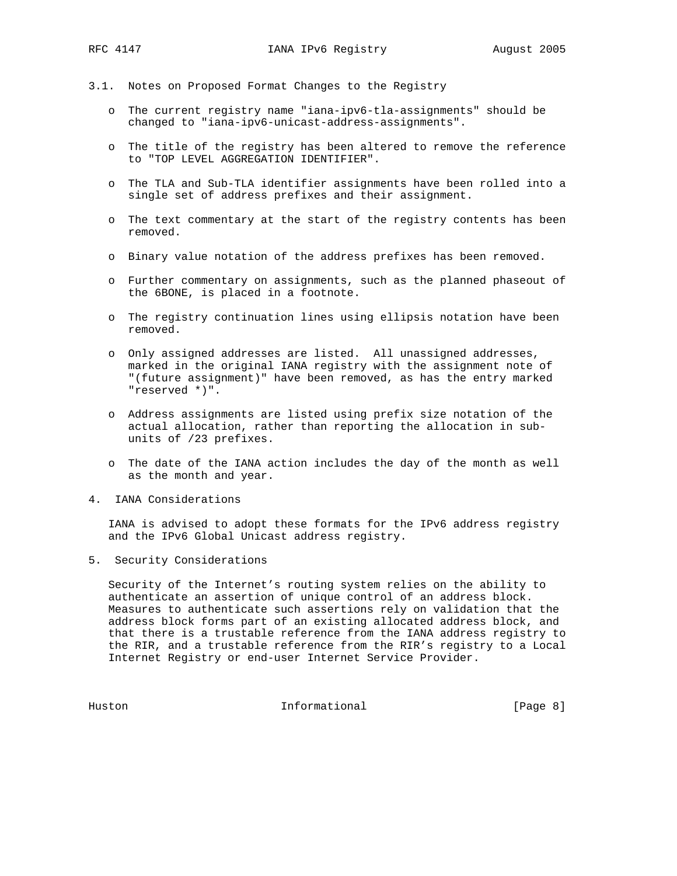- 3.1. Notes on Proposed Format Changes to the Registry
	- o The current registry name "iana-ipv6-tla-assignments" should be changed to "iana-ipv6-unicast-address-assignments".
	- o The title of the registry has been altered to remove the reference to "TOP LEVEL AGGREGATION IDENTIFIER".
	- o The TLA and Sub-TLA identifier assignments have been rolled into a single set of address prefixes and their assignment.
	- o The text commentary at the start of the registry contents has been removed.
	- o Binary value notation of the address prefixes has been removed.
	- o Further commentary on assignments, such as the planned phaseout of the 6BONE, is placed in a footnote.
	- o The registry continuation lines using ellipsis notation have been removed.
	- o Only assigned addresses are listed. All unassigned addresses, marked in the original IANA registry with the assignment note of "(future assignment)" have been removed, as has the entry marked "reserved \*)".
	- o Address assignments are listed using prefix size notation of the actual allocation, rather than reporting the allocation in sub units of /23 prefixes.
	- o The date of the IANA action includes the day of the month as well as the month and year.
- 4. IANA Considerations

 IANA is advised to adopt these formats for the IPv6 address registry and the IPv6 Global Unicast address registry.

5. Security Considerations

 Security of the Internet's routing system relies on the ability to authenticate an assertion of unique control of an address block. Measures to authenticate such assertions rely on validation that the address block forms part of an existing allocated address block, and that there is a trustable reference from the IANA address registry to the RIR, and a trustable reference from the RIR's registry to a Local Internet Registry or end-user Internet Service Provider.

Huston Informational [Page 8]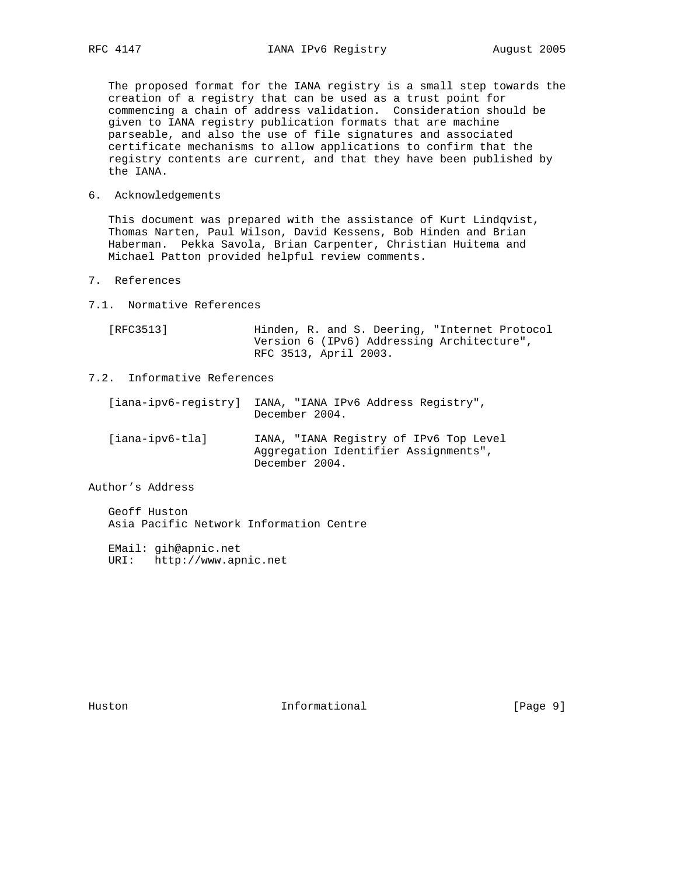The proposed format for the IANA registry is a small step towards the creation of a registry that can be used as a trust point for commencing a chain of address validation. Consideration should be given to IANA registry publication formats that are machine parseable, and also the use of file signatures and associated certificate mechanisms to allow applications to confirm that the registry contents are current, and that they have been published by the IANA.

6. Acknowledgements

 This document was prepared with the assistance of Kurt Lindqvist, Thomas Narten, Paul Wilson, David Kessens, Bob Hinden and Brian Haberman. Pekka Savola, Brian Carpenter, Christian Huitema and Michael Patton provided helpful review comments.

- 7. References
- 7.1. Normative References

| [RFC3513] | Hinden, R. and S. Deering, "Internet Protocol |
|-----------|-----------------------------------------------|
|           | Version 6 (IPv6) Addressing Architecture",    |
|           | RFC 3513, April 2003.                         |

7.2. Informative References

| [iana-ipv6-reqistry] | IANA, "IANA IPv6 Address Registry",<br>December 2004.                                            |
|----------------------|--------------------------------------------------------------------------------------------------|
| [iana-ipv6-tla]      | IANA, "IANA Registry of IPv6 Top Level<br>Aggregation Identifier Assignments",<br>December 2004. |

Author's Address

 Geoff Huston Asia Pacific Network Information Centre

 EMail: gih@apnic.net URI: http://www.apnic.net

Huston **Informational Informational** [Page 9]